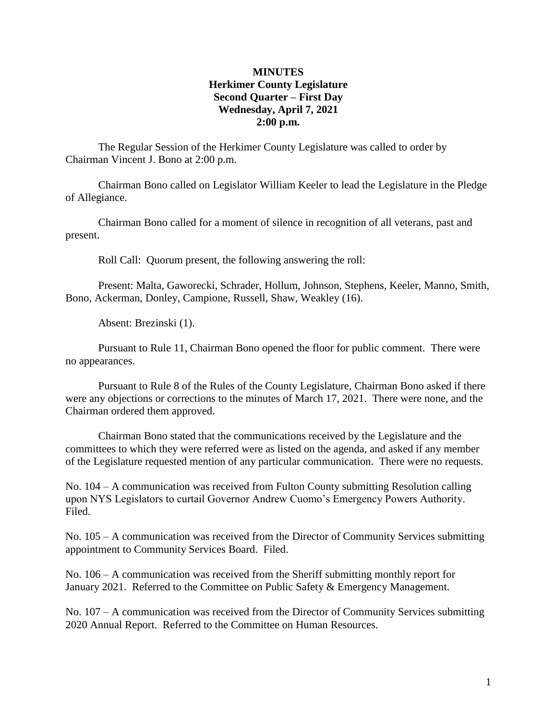## **MINUTES Herkimer County Legislature Second Quarter – First Day Wednesday, April 7, 2021 2:00 p.m.**

The Regular Session of the Herkimer County Legislature was called to order by Chairman Vincent J. Bono at 2:00 p.m.

Chairman Bono called on Legislator William Keeler to lead the Legislature in the Pledge of Allegiance.

Chairman Bono called for a moment of silence in recognition of all veterans, past and present.

Roll Call: Quorum present, the following answering the roll:

Present: Malta, Gaworecki, Schrader, Hollum, Johnson, Stephens, Keeler, Manno, Smith, Bono, Ackerman, Donley, Campione, Russell, Shaw, Weakley (16).

Absent: Brezinski (1).

Pursuant to Rule 11, Chairman Bono opened the floor for public comment. There were no appearances.

Pursuant to Rule 8 of the Rules of the County Legislature, Chairman Bono asked if there were any objections or corrections to the minutes of March 17, 2021. There were none, and the Chairman ordered them approved.

Chairman Bono stated that the communications received by the Legislature and the committees to which they were referred were as listed on the agenda, and asked if any member of the Legislature requested mention of any particular communication. There were no requests.

No. 104 – A communication was received from Fulton County submitting Resolution calling upon NYS Legislators to curtail Governor Andrew Cuomo's Emergency Powers Authority. Filed.

No. 105 – A communication was received from the Director of Community Services submitting appointment to Community Services Board. Filed.

No. 106 – A communication was received from the Sheriff submitting monthly report for January 2021. Referred to the Committee on Public Safety & Emergency Management.

No. 107 – A communication was received from the Director of Community Services submitting 2020 Annual Report. Referred to the Committee on Human Resources.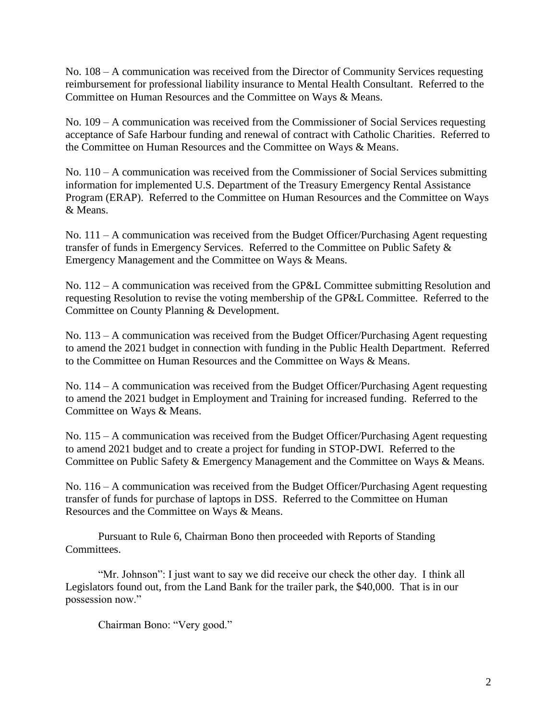No. 108 – A communication was received from the Director of Community Services requesting reimbursement for professional liability insurance to Mental Health Consultant. Referred to the Committee on Human Resources and the Committee on Ways & Means.

No. 109 – A communication was received from the Commissioner of Social Services requesting acceptance of Safe Harbour funding and renewal of contract with Catholic Charities. Referred to the Committee on Human Resources and the Committee on Ways & Means.

No. 110 – A communication was received from the Commissioner of Social Services submitting information for implemented U.S. Department of the Treasury Emergency Rental Assistance Program (ERAP). Referred to the Committee on Human Resources and the Committee on Ways & Means.

No. 111 – A communication was received from the Budget Officer/Purchasing Agent requesting transfer of funds in Emergency Services. Referred to the Committee on Public Safety & Emergency Management and the Committee on Ways & Means.

No. 112 – A communication was received from the GP&L Committee submitting Resolution and requesting Resolution to revise the voting membership of the GP&L Committee. Referred to the Committee on County Planning & Development.

No. 113 – A communication was received from the Budget Officer/Purchasing Agent requesting to amend the 2021 budget in connection with funding in the Public Health Department. Referred to the Committee on Human Resources and the Committee on Ways & Means.

No. 114 – A communication was received from the Budget Officer/Purchasing Agent requesting to amend the 2021 budget in Employment and Training for increased funding. Referred to the Committee on Ways & Means.

No. 115 – A communication was received from the Budget Officer/Purchasing Agent requesting to amend 2021 budget and to create a project for funding in STOP-DWI. Referred to the Committee on Public Safety & Emergency Management and the Committee on Ways & Means.

No. 116 – A communication was received from the Budget Officer/Purchasing Agent requesting transfer of funds for purchase of laptops in DSS. Referred to the Committee on Human Resources and the Committee on Ways & Means.

Pursuant to Rule 6, Chairman Bono then proceeded with Reports of Standing Committees.

"Mr. Johnson": I just want to say we did receive our check the other day. I think all Legislators found out, from the Land Bank for the trailer park, the \$40,000. That is in our possession now."

Chairman Bono: "Very good."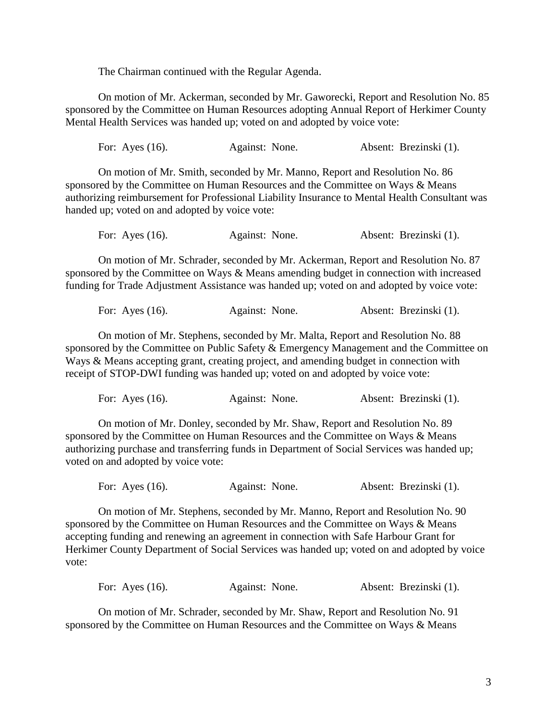The Chairman continued with the Regular Agenda.

On motion of Mr. Ackerman, seconded by Mr. Gaworecki, Report and Resolution No. 85 sponsored by the Committee on Human Resources adopting Annual Report of Herkimer County Mental Health Services was handed up; voted on and adopted by voice vote:

For: Ayes (16). Against: None. Absent: Brezinski (1).

On motion of Mr. Smith, seconded by Mr. Manno, Report and Resolution No. 86 sponsored by the Committee on Human Resources and the Committee on Ways & Means authorizing reimbursement for Professional Liability Insurance to Mental Health Consultant was handed up; voted on and adopted by voice vote:

| Absent: Brezinski (1).<br>For: Ayes $(16)$ .<br>Against: None. |  |  |  |
|----------------------------------------------------------------|--|--|--|
|----------------------------------------------------------------|--|--|--|

On motion of Mr. Schrader, seconded by Mr. Ackerman, Report and Resolution No. 87 sponsored by the Committee on Ways & Means amending budget in connection with increased funding for Trade Adjustment Assistance was handed up; voted on and adopted by voice vote:

For: Ayes (16). Against: None. Absent: Brezinski (1).

On motion of Mr. Stephens, seconded by Mr. Malta, Report and Resolution No. 88 sponsored by the Committee on Public Safety & Emergency Management and the Committee on Ways & Means accepting grant, creating project, and amending budget in connection with receipt of STOP-DWI funding was handed up; voted on and adopted by voice vote:

For: Ayes (16). Against: None. Absent: Brezinski (1).

On motion of Mr. Donley, seconded by Mr. Shaw, Report and Resolution No. 89 sponsored by the Committee on Human Resources and the Committee on Ways & Means authorizing purchase and transferring funds in Department of Social Services was handed up; voted on and adopted by voice vote:

For: Ayes (16). Against: None. Absent: Brezinski (1).

On motion of Mr. Stephens, seconded by Mr. Manno, Report and Resolution No. 90 sponsored by the Committee on Human Resources and the Committee on Ways & Means accepting funding and renewing an agreement in connection with Safe Harbour Grant for Herkimer County Department of Social Services was handed up; voted on and adopted by voice vote:

For: Ayes (16). Against: None. Absent: Brezinski (1).

On motion of Mr. Schrader, seconded by Mr. Shaw, Report and Resolution No. 91 sponsored by the Committee on Human Resources and the Committee on Ways & Means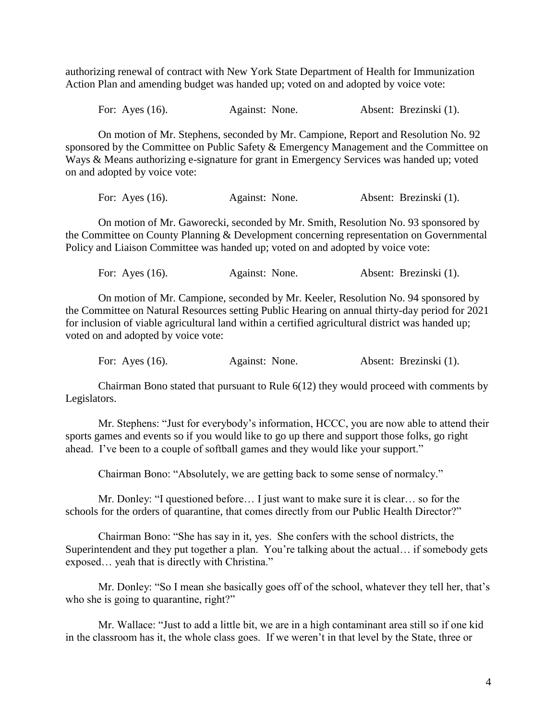authorizing renewal of contract with New York State Department of Health for Immunization Action Plan and amending budget was handed up; voted on and adopted by voice vote:

For: Ayes (16). Against: None. Absent: Brezinski (1).

On motion of Mr. Stephens, seconded by Mr. Campione, Report and Resolution No. 92 sponsored by the Committee on Public Safety & Emergency Management and the Committee on Ways & Means authorizing e-signature for grant in Emergency Services was handed up; voted on and adopted by voice vote:

For: Ayes (16). Against: None. Absent: Brezinski (1).

On motion of Mr. Gaworecki, seconded by Mr. Smith, Resolution No. 93 sponsored by the Committee on County Planning & Development concerning representation on Governmental Policy and Liaison Committee was handed up; voted on and adopted by voice vote:

For: Ayes (16). Against: None. Absent: Brezinski (1).

On motion of Mr. Campione, seconded by Mr. Keeler, Resolution No. 94 sponsored by the Committee on Natural Resources setting Public Hearing on annual thirty-day period for 2021 for inclusion of viable agricultural land within a certified agricultural district was handed up; voted on and adopted by voice vote:

For: Ayes (16). Against: None. Absent: Brezinski (1).

Chairman Bono stated that pursuant to Rule 6(12) they would proceed with comments by Legislators.

Mr. Stephens: "Just for everybody's information, HCCC, you are now able to attend their sports games and events so if you would like to go up there and support those folks, go right ahead. I've been to a couple of softball games and they would like your support."

Chairman Bono: "Absolutely, we are getting back to some sense of normalcy."

Mr. Donley: "I questioned before… I just want to make sure it is clear… so for the schools for the orders of quarantine, that comes directly from our Public Health Director?"

Chairman Bono: "She has say in it, yes. She confers with the school districts, the Superintendent and they put together a plan. You're talking about the actual… if somebody gets exposed… yeah that is directly with Christina."

Mr. Donley: "So I mean she basically goes off of the school, whatever they tell her, that's who she is going to quarantine, right?"

Mr. Wallace: "Just to add a little bit, we are in a high contaminant area still so if one kid in the classroom has it, the whole class goes. If we weren't in that level by the State, three or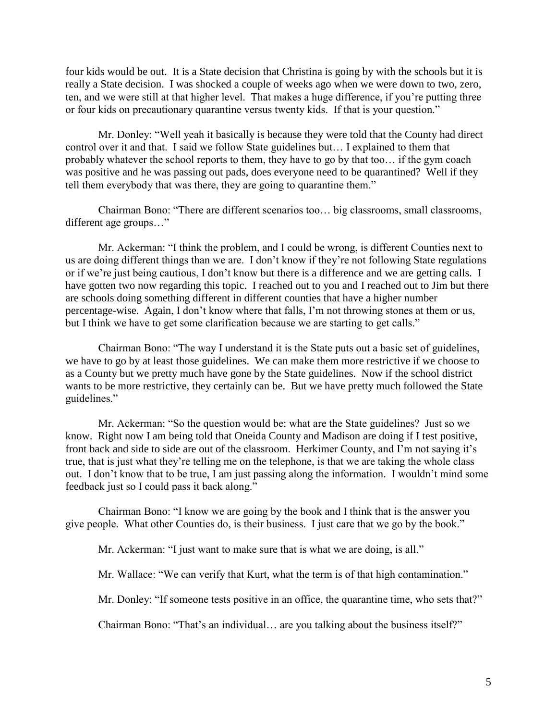four kids would be out. It is a State decision that Christina is going by with the schools but it is really a State decision. I was shocked a couple of weeks ago when we were down to two, zero, ten, and we were still at that higher level. That makes a huge difference, if you're putting three or four kids on precautionary quarantine versus twenty kids. If that is your question."

Mr. Donley: "Well yeah it basically is because they were told that the County had direct control over it and that. I said we follow State guidelines but… I explained to them that probably whatever the school reports to them, they have to go by that too… if the gym coach was positive and he was passing out pads, does everyone need to be quarantined? Well if they tell them everybody that was there, they are going to quarantine them."

Chairman Bono: "There are different scenarios too… big classrooms, small classrooms, different age groups…"

Mr. Ackerman: "I think the problem, and I could be wrong, is different Counties next to us are doing different things than we are. I don't know if they're not following State regulations or if we're just being cautious, I don't know but there is a difference and we are getting calls. I have gotten two now regarding this topic. I reached out to you and I reached out to Jim but there are schools doing something different in different counties that have a higher number percentage-wise. Again, I don't know where that falls, I'm not throwing stones at them or us, but I think we have to get some clarification because we are starting to get calls."

Chairman Bono: "The way I understand it is the State puts out a basic set of guidelines, we have to go by at least those guidelines. We can make them more restrictive if we choose to as a County but we pretty much have gone by the State guidelines. Now if the school district wants to be more restrictive, they certainly can be. But we have pretty much followed the State guidelines."

Mr. Ackerman: "So the question would be: what are the State guidelines? Just so we know. Right now I am being told that Oneida County and Madison are doing if I test positive, front back and side to side are out of the classroom. Herkimer County, and I'm not saying it's true, that is just what they're telling me on the telephone, is that we are taking the whole class out. I don't know that to be true, I am just passing along the information. I wouldn't mind some feedback just so I could pass it back along."

Chairman Bono: "I know we are going by the book and I think that is the answer you give people. What other Counties do, is their business. I just care that we go by the book."

Mr. Ackerman: "I just want to make sure that is what we are doing, is all."

Mr. Wallace: "We can verify that Kurt, what the term is of that high contamination."

Mr. Donley: "If someone tests positive in an office, the quarantine time, who sets that?"

Chairman Bono: "That's an individual… are you talking about the business itself?"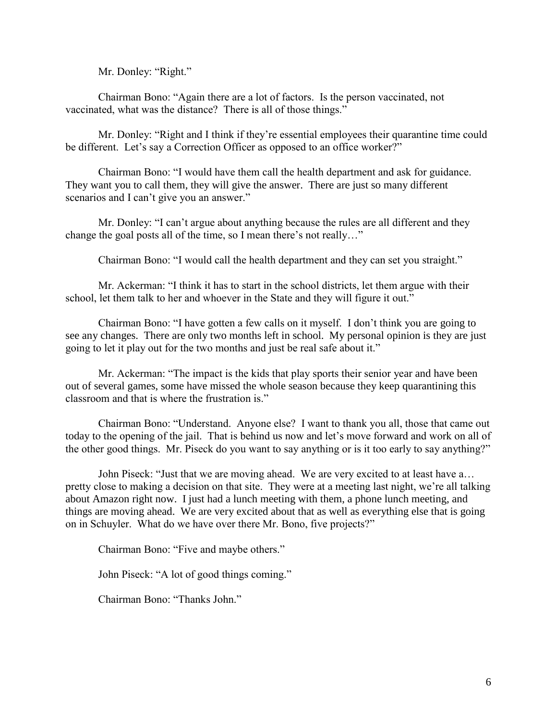Mr. Donley: "Right."

Chairman Bono: "Again there are a lot of factors. Is the person vaccinated, not vaccinated, what was the distance? There is all of those things."

Mr. Donley: "Right and I think if they're essential employees their quarantine time could be different. Let's say a Correction Officer as opposed to an office worker?"

 Chairman Bono: "I would have them call the health department and ask for guidance. They want you to call them, they will give the answer. There are just so many different scenarios and I can't give you an answer."

Mr. Donley: "I can't argue about anything because the rules are all different and they change the goal posts all of the time, so I mean there's not really…"

Chairman Bono: "I would call the health department and they can set you straight."

Mr. Ackerman: "I think it has to start in the school districts, let them argue with their school, let them talk to her and whoever in the State and they will figure it out."

Chairman Bono: "I have gotten a few calls on it myself. I don't think you are going to see any changes. There are only two months left in school. My personal opinion is they are just going to let it play out for the two months and just be real safe about it."

Mr. Ackerman: "The impact is the kids that play sports their senior year and have been out of several games, some have missed the whole season because they keep quarantining this classroom and that is where the frustration is."

Chairman Bono: "Understand. Anyone else? I want to thank you all, those that came out today to the opening of the jail. That is behind us now and let's move forward and work on all of the other good things. Mr. Piseck do you want to say anything or is it too early to say anything?"

John Piseck: "Just that we are moving ahead. We are very excited to at least have a… pretty close to making a decision on that site. They were at a meeting last night, we're all talking about Amazon right now. I just had a lunch meeting with them, a phone lunch meeting, and things are moving ahead. We are very excited about that as well as everything else that is going on in Schuyler. What do we have over there Mr. Bono, five projects?"

Chairman Bono: "Five and maybe others."

John Piseck: "A lot of good things coming."

Chairman Bono: "Thanks John."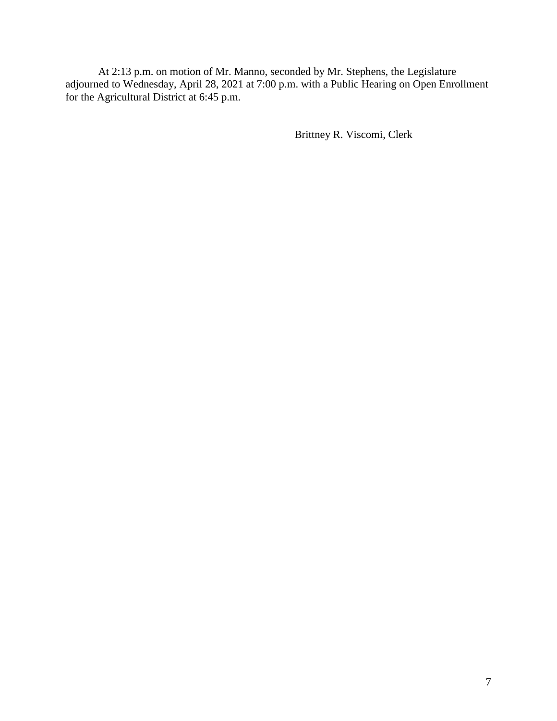At 2:13 p.m. on motion of Mr. Manno, seconded by Mr. Stephens, the Legislature adjourned to Wednesday, April 28, 2021 at 7:00 p.m. with a Public Hearing on Open Enrollment for the Agricultural District at 6:45 p.m.

Brittney R. Viscomi, Clerk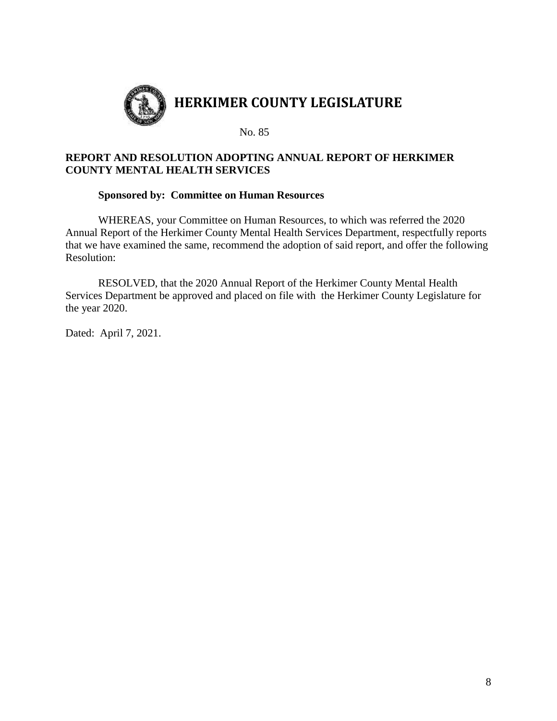

# **REPORT AND RESOLUTION ADOPTING ANNUAL REPORT OF HERKIMER COUNTY MENTAL HEALTH SERVICES**

## **Sponsored by: Committee on Human Resources**

WHEREAS, your Committee on Human Resources, to which was referred the 2020 Annual Report of the Herkimer County Mental Health Services Department, respectfully reports that we have examined the same, recommend the adoption of said report, and offer the following Resolution:

RESOLVED, that the 2020 Annual Report of the Herkimer County Mental Health Services Department be approved and placed on file with the Herkimer County Legislature for the year 2020.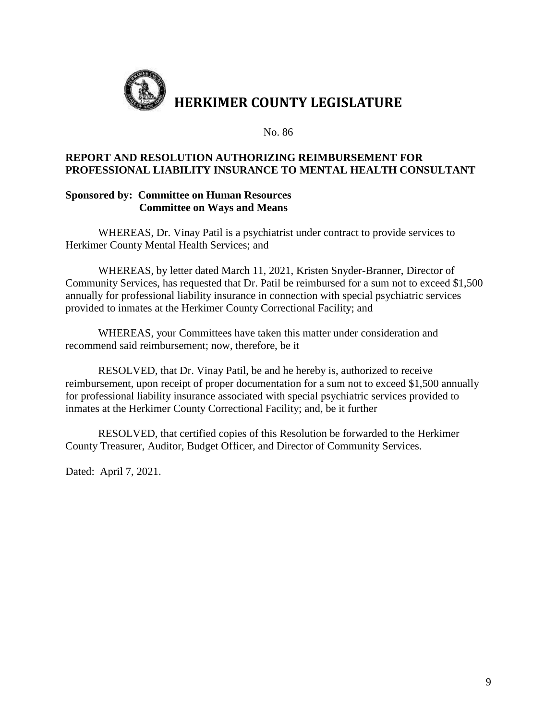

## **REPORT AND RESOLUTION AUTHORIZING REIMBURSEMENT FOR PROFESSIONAL LIABILITY INSURANCE TO MENTAL HEALTH CONSULTANT**

## **Sponsored by: Committee on Human Resources Committee on Ways and Means**

WHEREAS, Dr. Vinay Patil is a psychiatrist under contract to provide services to Herkimer County Mental Health Services; and

WHEREAS, by letter dated March 11, 2021, Kristen Snyder-Branner, Director of Community Services, has requested that Dr. Patil be reimbursed for a sum not to exceed \$1,500 annually for professional liability insurance in connection with special psychiatric services provided to inmates at the Herkimer County Correctional Facility; and

WHEREAS, your Committees have taken this matter under consideration and recommend said reimbursement; now, therefore, be it

RESOLVED, that Dr. Vinay Patil, be and he hereby is, authorized to receive reimbursement, upon receipt of proper documentation for a sum not to exceed \$1,500 annually for professional liability insurance associated with special psychiatric services provided to inmates at the Herkimer County Correctional Facility; and, be it further

RESOLVED, that certified copies of this Resolution be forwarded to the Herkimer County Treasurer, Auditor, Budget Officer, and Director of Community Services.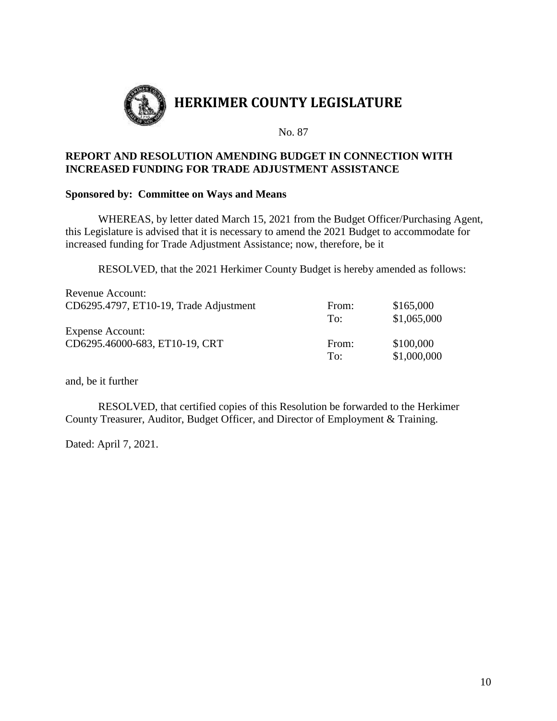

# **REPORT AND RESOLUTION AMENDING BUDGET IN CONNECTION WITH INCREASED FUNDING FOR TRADE ADJUSTMENT ASSISTANCE**

#### **Sponsored by: Committee on Ways and Means**

WHEREAS, by letter dated March 15, 2021 from the Budget Officer/Purchasing Agent, this Legislature is advised that it is necessary to amend the 2021 Budget to accommodate for increased funding for Trade Adjustment Assistance; now, therefore, be it

RESOLVED, that the 2021 Herkimer County Budget is hereby amended as follows:

| Revenue Account:                       |       |             |
|----------------------------------------|-------|-------------|
| CD6295.4797, ET10-19, Trade Adjustment | From: | \$165,000   |
|                                        | To:   | \$1,065,000 |
| <b>Expense Account:</b>                |       |             |
| CD6295.46000-683, ET10-19, CRT         | From: | \$100,000   |
|                                        | To:   | \$1,000,000 |

and, be it further

RESOLVED, that certified copies of this Resolution be forwarded to the Herkimer County Treasurer, Auditor, Budget Officer, and Director of Employment & Training.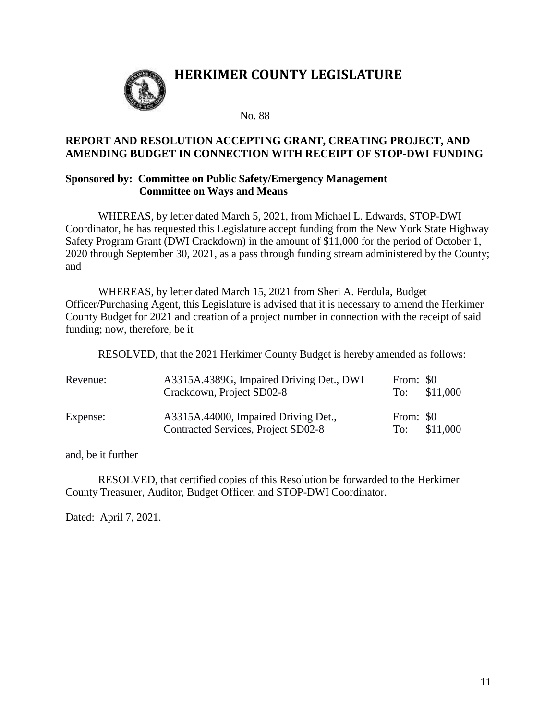

# **HERKIMER COUNTY LEGISLATURE**

No. 88

### **REPORT AND RESOLUTION ACCEPTING GRANT, CREATING PROJECT, AND AMENDING BUDGET IN CONNECTION WITH RECEIPT OF STOP-DWI FUNDING**

#### **Sponsored by: Committee on Public Safety/Emergency Management Committee on Ways and Means**

WHEREAS, by letter dated March 5, 2021, from Michael L. Edwards, STOP-DWI Coordinator, he has requested this Legislature accept funding from the New York State Highway Safety Program Grant (DWI Crackdown) in the amount of \$11,000 for the period of October 1, 2020 through September 30, 2021, as a pass through funding stream administered by the County; and

WHEREAS, by letter dated March 15, 2021 from Sheri A. Ferdula, Budget Officer/Purchasing Agent, this Legislature is advised that it is necessary to amend the Herkimer County Budget for 2021 and creation of a project number in connection with the receipt of said funding; now, therefore, be it

RESOLVED, that the 2021 Herkimer County Budget is hereby amended as follows:

| Revenue: | A3315A.4389G, Impaired Driving Det., DWI<br>Crackdown, Project SD02-8       | From: \$0        | To: $$11,000$ |
|----------|-----------------------------------------------------------------------------|------------------|---------------|
| Expense: | A3315A.44000, Impaired Driving Det.,<br>Contracted Services, Project SD02-8 | From: \$0<br>To: | \$11,000      |

and, be it further

RESOLVED, that certified copies of this Resolution be forwarded to the Herkimer County Treasurer, Auditor, Budget Officer, and STOP-DWI Coordinator.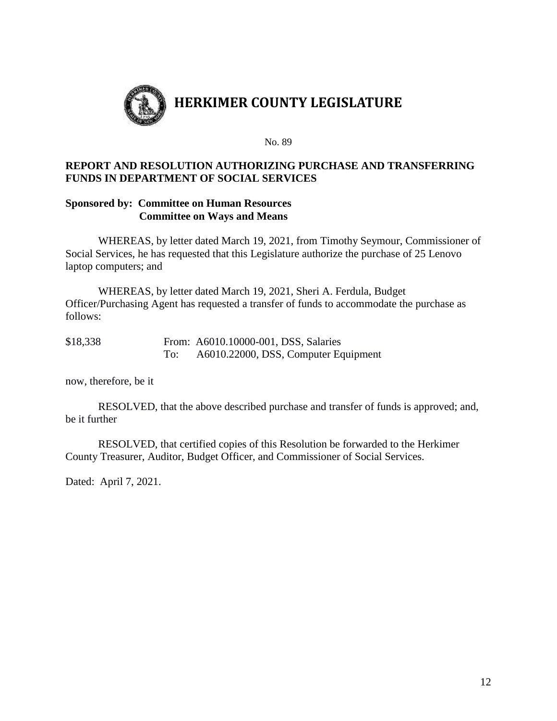

# **REPORT AND RESOLUTION AUTHORIZING PURCHASE AND TRANSFERRING FUNDS IN DEPARTMENT OF SOCIAL SERVICES**

### **Sponsored by: Committee on Human Resources Committee on Ways and Means**

WHEREAS, by letter dated March 19, 2021, from Timothy Seymour, Commissioner of Social Services, he has requested that this Legislature authorize the purchase of 25 Lenovo laptop computers; and

WHEREAS, by letter dated March 19, 2021, Sheri A. Ferdula, Budget Officer/Purchasing Agent has requested a transfer of funds to accommodate the purchase as follows:

| \$18,338 |     | From: A6010.10000-001, DSS, Salaries |
|----------|-----|--------------------------------------|
|          | To: | A6010.22000, DSS, Computer Equipment |

now, therefore, be it

RESOLVED, that the above described purchase and transfer of funds is approved; and, be it further

RESOLVED, that certified copies of this Resolution be forwarded to the Herkimer County Treasurer, Auditor, Budget Officer, and Commissioner of Social Services.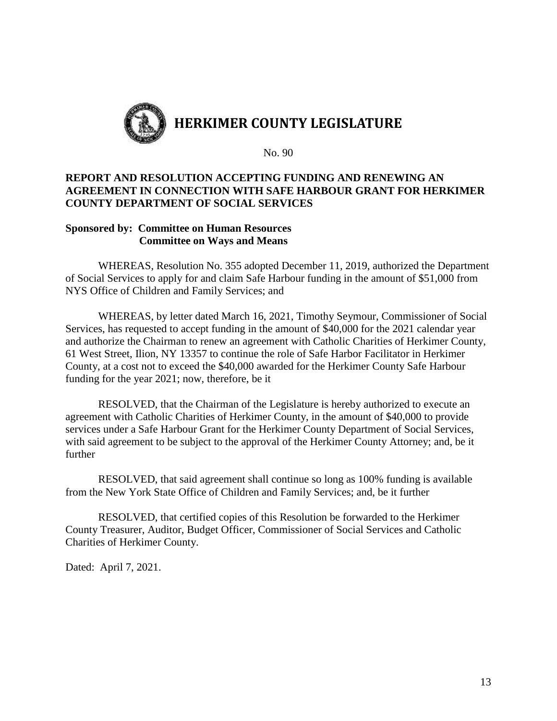

## **REPORT AND RESOLUTION ACCEPTING FUNDING AND RENEWING AN AGREEMENT IN CONNECTION WITH SAFE HARBOUR GRANT FOR HERKIMER COUNTY DEPARTMENT OF SOCIAL SERVICES**

### **Sponsored by: Committee on Human Resources Committee on Ways and Means**

WHEREAS, Resolution No. 355 adopted December 11, 2019, authorized the Department of Social Services to apply for and claim Safe Harbour funding in the amount of \$51,000 from NYS Office of Children and Family Services; and

WHEREAS, by letter dated March 16, 2021, Timothy Seymour, Commissioner of Social Services, has requested to accept funding in the amount of \$40,000 for the 2021 calendar year and authorize the Chairman to renew an agreement with Catholic Charities of Herkimer County, 61 West Street, Ilion, NY 13357 to continue the role of Safe Harbor Facilitator in Herkimer County, at a cost not to exceed the \$40,000 awarded for the Herkimer County Safe Harbour funding for the year 2021; now, therefore, be it

RESOLVED, that the Chairman of the Legislature is hereby authorized to execute an agreement with Catholic Charities of Herkimer County, in the amount of \$40,000 to provide services under a Safe Harbour Grant for the Herkimer County Department of Social Services, with said agreement to be subject to the approval of the Herkimer County Attorney; and, be it further

RESOLVED, that said agreement shall continue so long as 100% funding is available from the New York State Office of Children and Family Services; and, be it further

RESOLVED, that certified copies of this Resolution be forwarded to the Herkimer County Treasurer, Auditor, Budget Officer, Commissioner of Social Services and Catholic Charities of Herkimer County.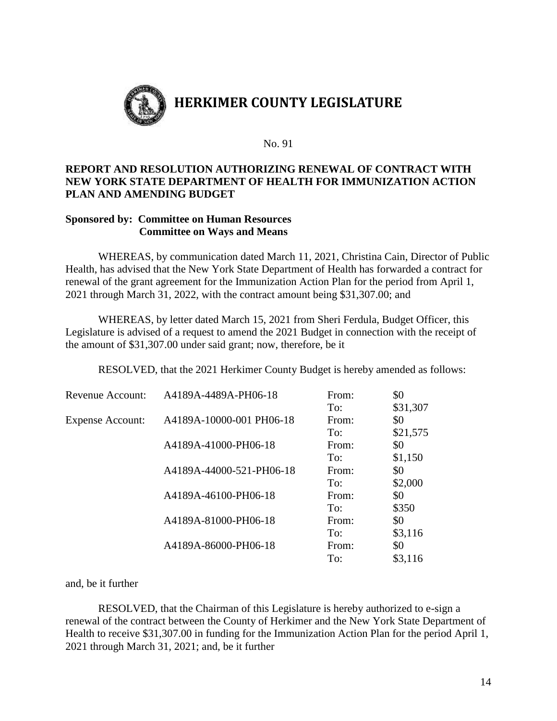

# **REPORT AND RESOLUTION AUTHORIZING RENEWAL OF CONTRACT WITH NEW YORK STATE DEPARTMENT OF HEALTH FOR IMMUNIZATION ACTION PLAN AND AMENDING BUDGET**

### **Sponsored by: Committee on Human Resources Committee on Ways and Means**

WHEREAS, by communication dated March 11, 2021, Christina Cain, Director of Public Health, has advised that the New York State Department of Health has forwarded a contract for renewal of the grant agreement for the Immunization Action Plan for the period from April 1, 2021 through March 31, 2022, with the contract amount being \$31,307.00; and

WHEREAS, by letter dated March 15, 2021 from Sheri Ferdula, Budget Officer, this Legislature is advised of a request to amend the 2021 Budget in connection with the receipt of the amount of \$31,307.00 under said grant; now, therefore, be it

RESOLVED, that the 2021 Herkimer County Budget is hereby amended as follows:

| Revenue Account:        | A4189A-4489A-PH06-18     | From: | \$0      |
|-------------------------|--------------------------|-------|----------|
|                         |                          | To:   | \$31,307 |
| <b>Expense Account:</b> | A4189A-10000-001 PH06-18 | From: | \$0      |
|                         |                          | To:   | \$21,575 |
|                         | A4189A-41000-PH06-18     | From: | \$0      |
|                         |                          | To:   | \$1,150  |
|                         | A4189A-44000-521-PH06-18 | From: | \$0      |
|                         |                          | To:   | \$2,000  |
|                         | A4189A-46100-PH06-18     | From: | \$0      |
|                         |                          | To:   | \$350    |
|                         | A4189A-81000-PH06-18     | From: | \$0      |
|                         |                          | To:   | \$3,116  |
|                         | A4189A-86000-PH06-18     | From: | \$0      |
|                         |                          | To:   | \$3,116  |

and, be it further

RESOLVED, that the Chairman of this Legislature is hereby authorized to e-sign a renewal of the contract between the County of Herkimer and the New York State Department of Health to receive \$31,307.00 in funding for the Immunization Action Plan for the period April 1, 2021 through March 31, 2021; and, be it further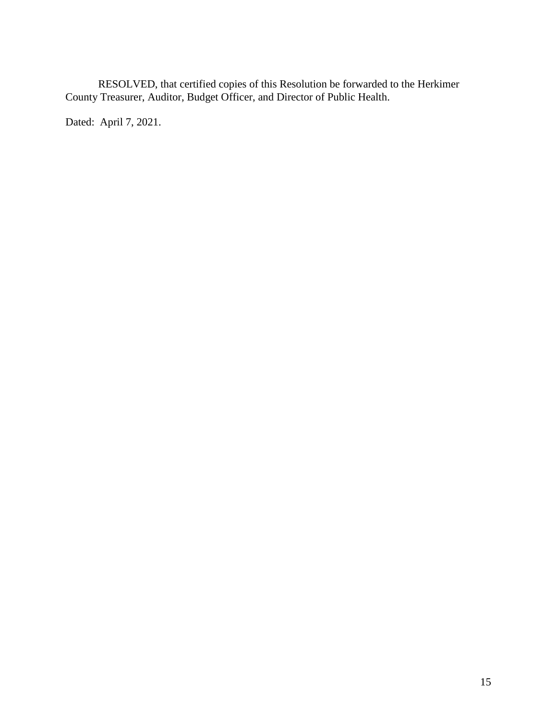RESOLVED, that certified copies of this Resolution be forwarded to the Herkimer County Treasurer, Auditor, Budget Officer, and Director of Public Health.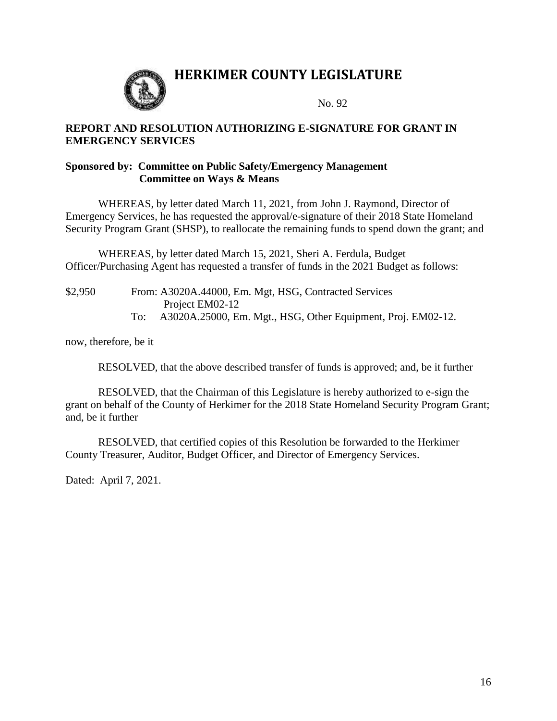

# **HERKIMER COUNTY LEGISLATURE**

No. 92

## **REPORT AND RESOLUTION AUTHORIZING E-SIGNATURE FOR GRANT IN EMERGENCY SERVICES**

#### **Sponsored by: Committee on Public Safety/Emergency Management Committee on Ways & Means**

WHEREAS, by letter dated March 11, 2021, from John J. Raymond, Director of Emergency Services, he has requested the approval/e-signature of their 2018 State Homeland Security Program Grant (SHSP), to reallocate the remaining funds to spend down the grant; and

WHEREAS, by letter dated March 15, 2021, Sheri A. Ferdula, Budget Officer/Purchasing Agent has requested a transfer of funds in the 2021 Budget as follows:

| \$2,950 | From: A3020A.44000, Em. Mgt, HSG, Contracted Services        |
|---------|--------------------------------------------------------------|
|         | Project EM02-12                                              |
|         | A3020A.25000, Em. Mgt., HSG, Other Equipment, Proj. EM02-12. |

now, therefore, be it

RESOLVED, that the above described transfer of funds is approved; and, be it further

RESOLVED, that the Chairman of this Legislature is hereby authorized to e-sign the grant on behalf of the County of Herkimer for the 2018 State Homeland Security Program Grant; and, be it further

RESOLVED, that certified copies of this Resolution be forwarded to the Herkimer County Treasurer, Auditor, Budget Officer, and Director of Emergency Services.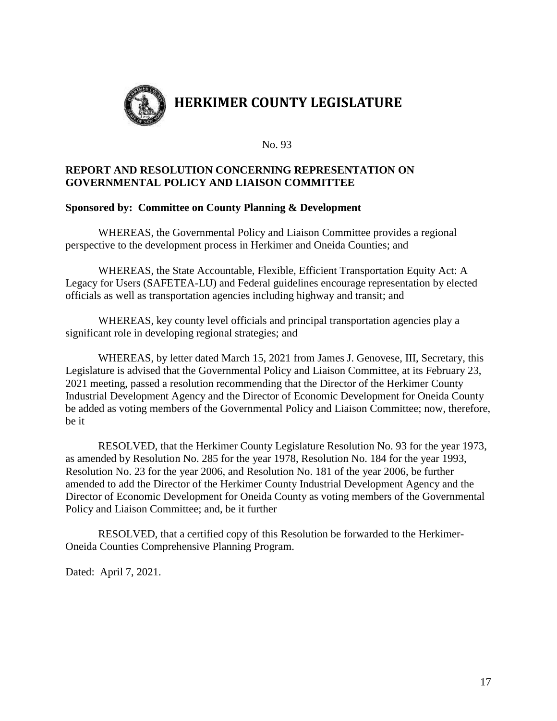

# **REPORT AND RESOLUTION CONCERNING REPRESENTATION ON GOVERNMENTAL POLICY AND LIAISON COMMITTEE**

# **Sponsored by: Committee on County Planning & Development**

WHEREAS, the Governmental Policy and Liaison Committee provides a regional perspective to the development process in Herkimer and Oneida Counties; and

WHEREAS, the State Accountable, Flexible, Efficient Transportation Equity Act: A Legacy for Users (SAFETEA-LU) and Federal guidelines encourage representation by elected officials as well as transportation agencies including highway and transit; and

WHEREAS, key county level officials and principal transportation agencies play a significant role in developing regional strategies; and

WHEREAS, by letter dated March 15, 2021 from James J. Genovese, III, Secretary, this Legislature is advised that the Governmental Policy and Liaison Committee, at its February 23, 2021 meeting, passed a resolution recommending that the Director of the Herkimer County Industrial Development Agency and the Director of Economic Development for Oneida County be added as voting members of the Governmental Policy and Liaison Committee; now, therefore, be it

RESOLVED, that the Herkimer County Legislature Resolution No. 93 for the year 1973, as amended by Resolution No. 285 for the year 1978, Resolution No. 184 for the year 1993, Resolution No. 23 for the year 2006, and Resolution No. 181 of the year 2006, be further amended to add the Director of the Herkimer County Industrial Development Agency and the Director of Economic Development for Oneida County as voting members of the Governmental Policy and Liaison Committee; and, be it further

RESOLVED, that a certified copy of this Resolution be forwarded to the Herkimer-Oneida Counties Comprehensive Planning Program.